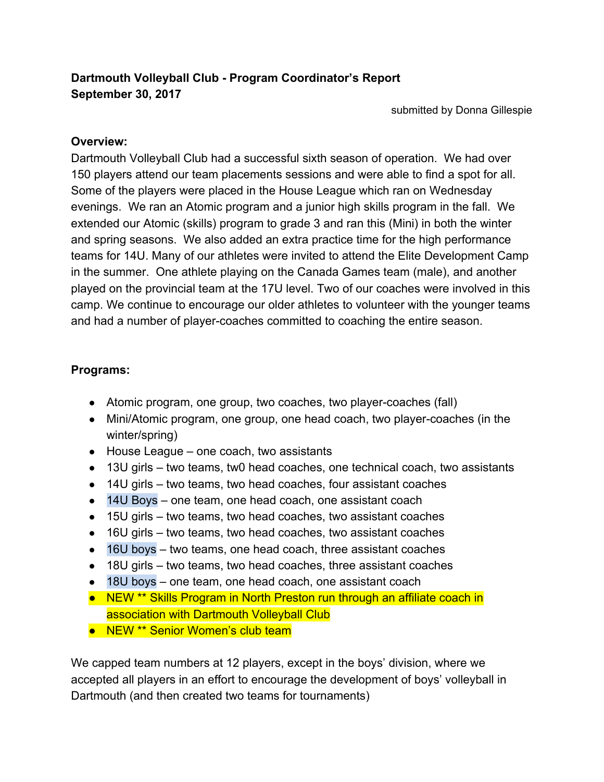# **Dartmouth Volleyball Club - Program Coordinator's Report September 30, 2017**

submitted by Donna Gillespie

### **Overview:**

Dartmouth Volleyball Club had a successful sixth season of operation. We had over 150 players attend our team placements sessions and were able to find a spot for all. Some of the players were placed in the House League which ran on Wednesday evenings. We ran an Atomic program and a junior high skills program in the fall. We extended our Atomic (skills) program to grade 3 and ran this (Mini) in both the winter and spring seasons. We also added an extra practice time for the high performance teams for 14U. Many of our athletes were invited to attend the Elite Development Camp in the summer. One athlete playing on the Canada Games team (male), and another played on the provincial team at the 17U level. Two of our coaches were involved in this camp. We continue to encourage our older athletes to volunteer with the younger teams and had a number of player-coaches committed to coaching the entire season.

### **Programs:**

- Atomic program, one group, two coaches, two player-coaches (fall)
- Mini/Atomic program, one group, one head coach, two player-coaches (in the winter/spring)
- $\bullet$  House League one coach, two assistants
- 13U girls two teams, tw0 head coaches, one technical coach, two assistants
- 14U girls two teams, two head coaches, four assistant coaches
- 14U Boys one team, one head coach, one assistant coach
- 15U girls two teams, two head coaches, two assistant coaches
- 16U girls two teams, two head coaches, two assistant coaches
- 16U boys two teams, one head coach, three assistant coaches
- 18U girls two teams, two head coaches, three assistant coaches
- 18U boys one team, one head coach, one assistant coach
- NEW<sup>\*\*</sup> Skills Program in North Preston run through an affiliate coach in association with Dartmouth Volleyball Club
- NEW<sup>\*\*</sup> Senior Women's club team

We capped team numbers at 12 players, except in the boys' division, where we accepted all players in an effort to encourage the development of boys' volleyball in Dartmouth (and then created two teams for tournaments)